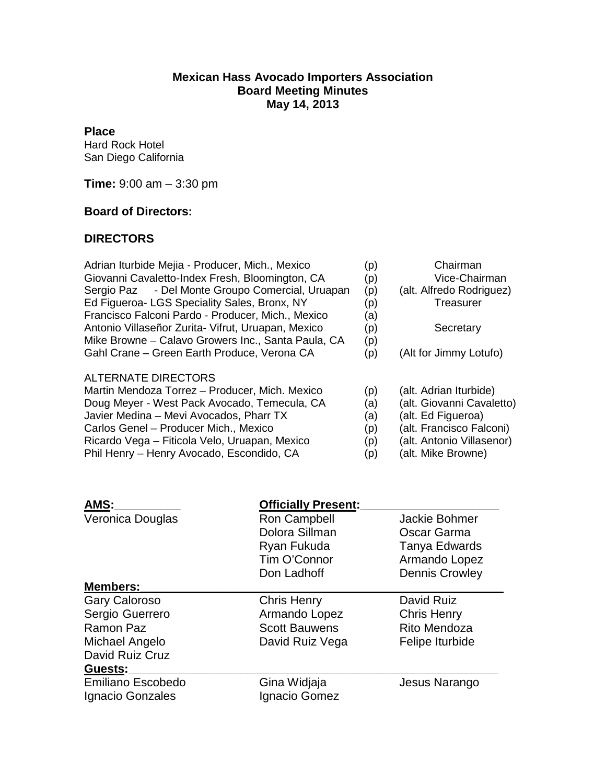## **Mexican Hass Avocado Importers Association Board Meeting Minutes May 14, 2013**

## **Place**

Hard Rock Hotel San Diego California

**Time:** 9:00 am – 3:30 pm

## **Board of Directors:**

## **DIRECTORS**

| Adrian Iturbide Mejia - Producer, Mich., Mexico<br>Giovanni Cavaletto-Index Fresh, Bloomington, CA<br>- Del Monte Groupo Comercial, Uruapan<br>Sergio Paz<br>Ed Figueroa- LGS Speciality Sales, Bronx, NY<br>Francisco Falconi Pardo - Producer, Mich., Mexico | (p)<br>(p)<br>(p)<br>(p)<br>(a) | Chairman<br>Vice-Chairman<br>(alt. Alfredo Rodriguez)<br>Treasurer |
|----------------------------------------------------------------------------------------------------------------------------------------------------------------------------------------------------------------------------------------------------------------|---------------------------------|--------------------------------------------------------------------|
| Antonio Villaseñor Zurita- Vifrut, Uruapan, Mexico                                                                                                                                                                                                             | (p)                             | Secretary                                                          |
| Mike Browne - Calavo Growers Inc., Santa Paula, CA                                                                                                                                                                                                             | (p)                             |                                                                    |
| Gahl Crane – Green Earth Produce, Verona CA                                                                                                                                                                                                                    | (p)                             | (Alt for Jimmy Lotufo)                                             |
| ALTERNATE DIRECTORS                                                                                                                                                                                                                                            |                                 |                                                                    |
| Martin Mendoza Torrez - Producer, Mich. Mexico                                                                                                                                                                                                                 | (p)                             | (alt. Adrian Iturbide)                                             |
| Doug Meyer - West Pack Avocado, Temecula, CA                                                                                                                                                                                                                   | (a)                             | (alt. Giovanni Cavaletto)                                          |
| Javier Medina - Mevi Avocados, Pharr TX                                                                                                                                                                                                                        | (a)                             | (alt. Ed Figueroa)                                                 |
| Carlos Genel - Producer Mich., Mexico                                                                                                                                                                                                                          | (p)                             | (alt. Francisco Falconi)                                           |
| Ricardo Vega - Fiticola Velo, Uruapan, Mexico                                                                                                                                                                                                                  | (p)                             | (alt. Antonio Villasenor)                                          |
| Phil Henry - Henry Avocado, Escondido, CA                                                                                                                                                                                                                      | (p)                             | (alt. Mike Browne)                                                 |

| AMS:                 | <b>Officially Present:</b> |                       |
|----------------------|----------------------------|-----------------------|
| Veronica Douglas     | Ron Campbell               | Jackie Bohmer         |
|                      | Dolora Sillman             | Oscar Garma           |
|                      | Ryan Fukuda                | Tanya Edwards         |
|                      | Tim O'Connor               | Armando Lopez         |
|                      | Don Ladhoff                | <b>Dennis Crowley</b> |
| <b>Members:</b>      |                            |                       |
| <b>Gary Caloroso</b> | <b>Chris Henry</b>         | David Ruiz            |
| Sergio Guerrero      | Armando Lopez              | <b>Chris Henry</b>    |
| Ramon Paz            | <b>Scott Bauwens</b>       | Rito Mendoza          |
| Michael Angelo       | David Ruiz Vega            | Felipe Iturbide       |
| David Ruiz Cruz      |                            |                       |
| Guests:              |                            |                       |
| Emiliano Escobedo    | Gina Widjaja               | Jesus Narango         |
| Ignacio Gonzales     | Ignacio Gomez              |                       |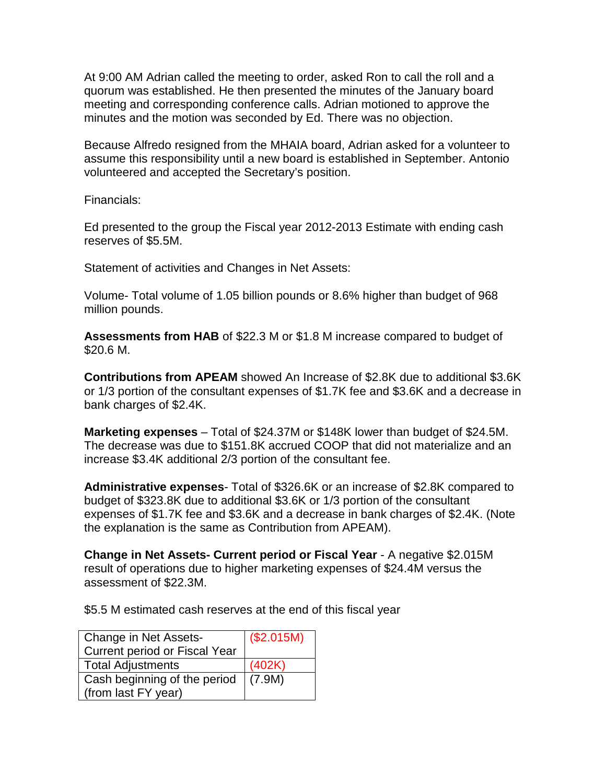At 9:00 AM Adrian called the meeting to order, asked Ron to call the roll and a quorum was established. He then presented the minutes of the January board meeting and corresponding conference calls. Adrian motioned to approve the minutes and the motion was seconded by Ed. There was no objection.

Because Alfredo resigned from the MHAIA board, Adrian asked for a volunteer to assume this responsibility until a new board is established in September. Antonio volunteered and accepted the Secretary's position.

Financials:

Ed presented to the group the Fiscal year 2012-2013 Estimate with ending cash reserves of \$5.5M.

Statement of activities and Changes in Net Assets:

Volume- Total volume of 1.05 billion pounds or 8.6% higher than budget of 968 million pounds.

**Assessments from HAB** of \$22.3 M or \$1.8 M increase compared to budget of \$20.6 M.

**Contributions from APEAM** showed An Increase of \$2.8K due to additional \$3.6K or 1/3 portion of the consultant expenses of \$1.7K fee and \$3.6K and a decrease in bank charges of \$2.4K.

**Marketing expenses** – Total of \$24.37M or \$148K lower than budget of \$24.5M. The decrease was due to \$151.8K accrued COOP that did not materialize and an increase \$3.4K additional 2/3 portion of the consultant fee.

**Administrative expenses**- Total of \$326.6K or an increase of \$2.8K compared to budget of \$323.8K due to additional \$3.6K or 1/3 portion of the consultant expenses of \$1.7K fee and \$3.6K and a decrease in bank charges of \$2.4K. (Note the explanation is the same as Contribution from APEAM).

**Change in Net Assets- Current period or Fiscal Year** - A negative \$2.015M result of operations due to higher marketing expenses of \$24.4M versus the assessment of \$22.3M.

\$5.5 M estimated cash reserves at the end of this fiscal year

| Change in Net Assets-                | (\$2.015M) |
|--------------------------------------|------------|
| <b>Current period or Fiscal Year</b> |            |
| <b>Total Adjustments</b>             | (402K)     |
| Cash beginning of the period         | (7.9M)     |
| (from last FY year)                  |            |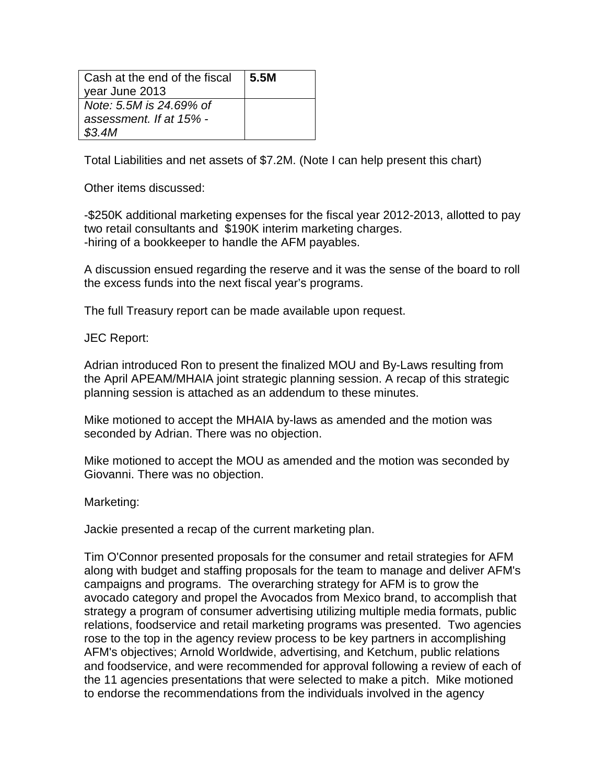| Cash at the end of the fiscal<br>year June 2013 | ∣ 5.5M |
|-------------------------------------------------|--------|
| Note: 5.5M is 24.69% of                         |        |
| assessment. If at 15% -                         |        |
| \$3.4M                                          |        |

Total Liabilities and net assets of \$7.2M. (Note I can help present this chart)

Other items discussed:

-\$250K additional marketing expenses for the fiscal year 2012-2013, allotted to pay two retail consultants and \$190K interim marketing charges. -hiring of a bookkeeper to handle the AFM payables.

A discussion ensued regarding the reserve and it was the sense of the board to roll the excess funds into the next fiscal year's programs.

The full Treasury report can be made available upon request.

JEC Report:

Adrian introduced Ron to present the finalized MOU and By-Laws resulting from the April APEAM/MHAIA joint strategic planning session. A recap of this strategic planning session is attached as an addendum to these minutes.

Mike motioned to accept the MHAIA by-laws as amended and the motion was seconded by Adrian. There was no objection.

Mike motioned to accept the MOU as amended and the motion was seconded by Giovanni. There was no objection.

Marketing:

Jackie presented a recap of the current marketing plan.

Tim O'Connor presented proposals for the consumer and retail strategies for AFM along with budget and staffing proposals for the team to manage and deliver AFM's campaigns and programs. The overarching strategy for AFM is to grow the avocado category and propel the Avocados from Mexico brand, to accomplish that strategy a program of consumer advertising utilizing multiple media formats, public relations, foodservice and retail marketing programs was presented. Two agencies rose to the top in the agency review process to be key partners in accomplishing AFM's objectives; Arnold Worldwide, advertising, and Ketchum, public relations and foodservice, and were recommended for approval following a review of each of the 11 agencies presentations that were selected to make a pitch. Mike motioned to endorse the recommendations from the individuals involved in the agency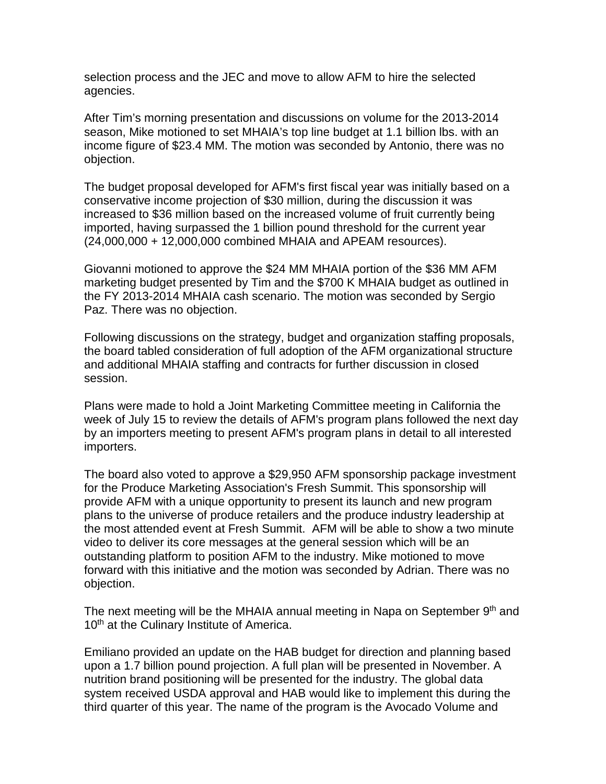selection process and the JEC and move to allow AFM to hire the selected agencies.

After Tim's morning presentation and discussions on volume for the 2013-2014 season, Mike motioned to set MHAIA's top line budget at 1.1 billion lbs. with an income figure of \$23.4 MM. The motion was seconded by Antonio, there was no objection.

The budget proposal developed for AFM's first fiscal year was initially based on a conservative income projection of \$30 million, during the discussion it was increased to \$36 million based on the increased volume of fruit currently being imported, having surpassed the 1 billion pound threshold for the current year (24,000,000 + 12,000,000 combined MHAIA and APEAM resources).

Giovanni motioned to approve the \$24 MM MHAIA portion of the \$36 MM AFM marketing budget presented by Tim and the \$700 K MHAIA budget as outlined in the FY 2013-2014 MHAIA cash scenario. The motion was seconded by Sergio Paz. There was no objection.

Following discussions on the strategy, budget and organization staffing proposals, the board tabled consideration of full adoption of the AFM organizational structure and additional MHAIA staffing and contracts for further discussion in closed session.

Plans were made to hold a Joint Marketing Committee meeting in California the week of July 15 to review the details of AFM's program plans followed the next day by an importers meeting to present AFM's program plans in detail to all interested importers.

The board also voted to approve a \$29,950 AFM sponsorship package investment for the Produce Marketing Association's Fresh Summit. This sponsorship will provide AFM with a unique opportunity to present its launch and new program plans to the universe of produce retailers and the produce industry leadership at the most attended event at Fresh Summit. AFM will be able to show a two minute video to deliver its core messages at the general session which will be an outstanding platform to position AFM to the industry. Mike motioned to move forward with this initiative and the motion was seconded by Adrian. There was no objection.

The next meeting will be the MHAIA annual meeting in Napa on September 9<sup>th</sup> and 10<sup>th</sup> at the Culinary Institute of America.

Emiliano provided an update on the HAB budget for direction and planning based upon a 1.7 billion pound projection. A full plan will be presented in November. A nutrition brand positioning will be presented for the industry. The global data system received USDA approval and HAB would like to implement this during the third quarter of this year. The name of the program is the Avocado Volume and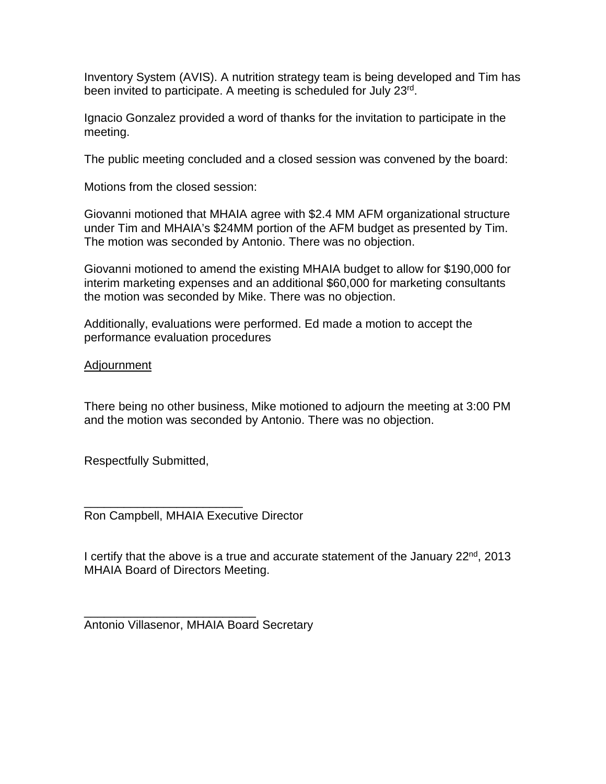Inventory System (AVIS). A nutrition strategy team is being developed and Tim has been invited to participate. A meeting is scheduled for July 23rd.

Ignacio Gonzalez provided a word of thanks for the invitation to participate in the meeting.

The public meeting concluded and a closed session was convened by the board:

Motions from the closed session:

Giovanni motioned that MHAIA agree with \$2.4 MM AFM organizational structure under Tim and MHAIA's \$24MM portion of the AFM budget as presented by Tim. The motion was seconded by Antonio. There was no objection.

Giovanni motioned to amend the existing MHAIA budget to allow for \$190,000 for interim marketing expenses and an additional \$60,000 for marketing consultants the motion was seconded by Mike. There was no objection.

Additionally, evaluations were performed. Ed made a motion to accept the performance evaluation procedures

Adjournment

There being no other business, Mike motioned to adjourn the meeting at 3:00 PM and the motion was seconded by Antonio. There was no objection.

Respectfully Submitted,

\_\_\_\_\_\_\_\_\_\_\_\_\_\_\_\_\_\_\_\_\_\_\_\_ Ron Campbell, MHAIA Executive Director

I certify that the above is a true and accurate statement of the January  $22<sup>nd</sup>$ , 2013 MHAIA Board of Directors Meeting.

\_\_\_\_\_\_\_\_\_\_\_\_\_\_\_\_\_\_\_\_\_\_\_\_\_\_ Antonio Villasenor, MHAIA Board Secretary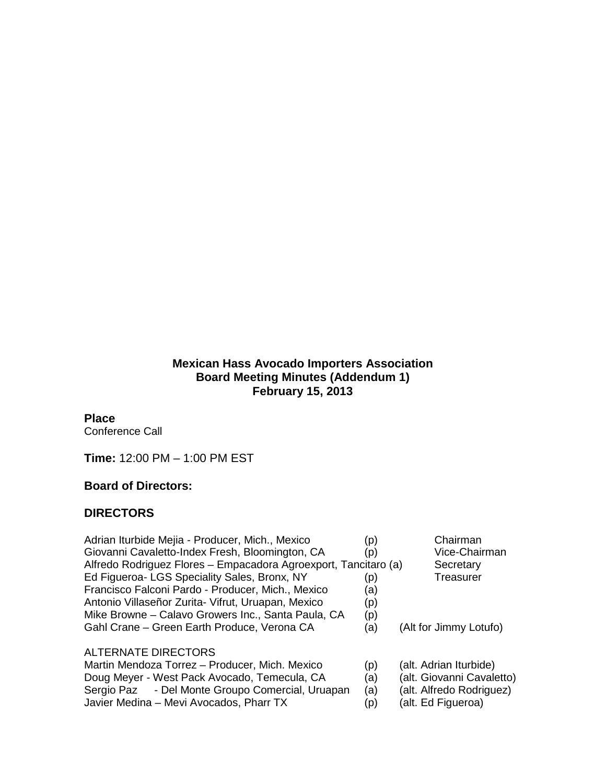## **Mexican Hass Avocado Importers Association Board Meeting Minutes (Addendum 1) February 15, 2013**

#### **Place**

Conference Call

**Time:** 12:00 PM – 1:00 PM EST

#### **Board of Directors:**

## **DIRECTORS**

| Adrian Iturbide Mejia - Producer, Mich., Mexico                 | (p) | Chairman             |
|-----------------------------------------------------------------|-----|----------------------|
| Giovanni Cavaletto-Index Fresh, Bloomington, CA                 | (p) | Vice-Chair           |
| Alfredo Rodriguez Flores - Empacadora Agroexport, Tancitaro (a) |     | Secretary            |
| Ed Figueroa- LGS Speciality Sales, Bronx, NY                    | (p) | Treasurer            |
| Francisco Falconi Pardo - Producer, Mich., Mexico               | (a) |                      |
| Antonio Villaseñor Zurita- Vifrut, Uruapan, Mexico              | (p) |                      |
| Mike Browne - Calavo Growers Inc., Santa Paula, CA              | (p) |                      |
| Gahl Crane - Green Earth Produce, Verona CA                     | (a) | (Alt for Jimmy Lotu  |
| <b>ALTERNATE DIRECTORS</b>                                      |     |                      |
| Martin Mendoza Torrez - Producer, Mich. Mexico                  | (p) | (alt. Adrian Iturbid |
| Doug Meyer - West Pack Avocado, Temecula, CA                    | (a) | (alt. Giovanni Cav   |
| Sergio Paz - Del Monte Groupo Comercial, Uruapan                | (a) | (alt. Alfredo Rodrig |
| Javier Medina - Mevi Avocados, Pharr TX                         | (p) | (alt. Ed Figueroa)   |

- Chairman Vice-Chairman
- Secretary<br>Treasurer
- for Jimmy Lotufo)
- Martian Iturbide)
- (alt. Giovanni Cavaletto)<br>(alt. Alfredo Rodriguez)
- 
- Javier Medina Mevi Avocados, Pharr TX  $(p)$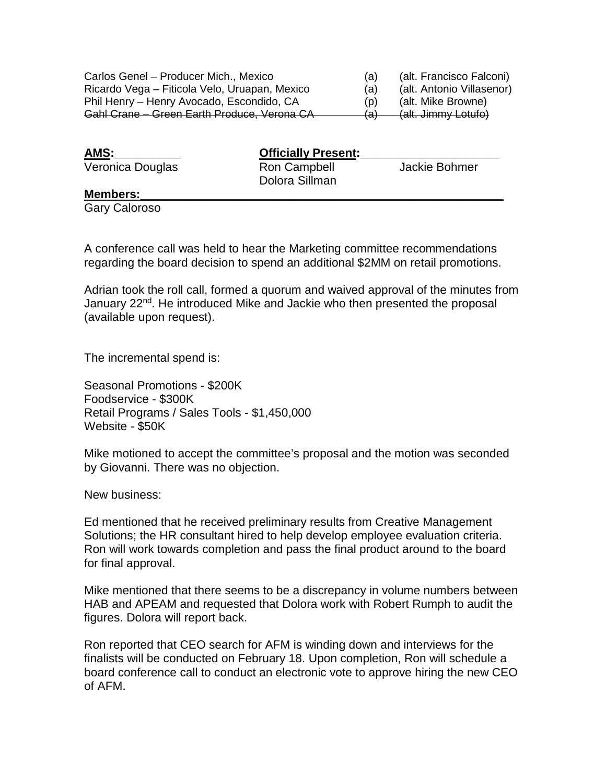| Carlos Genel - Producer Mich., Mexico         | (a)   | (alt. Francisco Falconi)  |
|-----------------------------------------------|-------|---------------------------|
| Ricardo Vega – Fiticola Velo, Uruapan, Mexico | (a)   | (alt. Antonio Villasenor) |
| Phil Henry - Henry Avocado, Escondido, CA     | (D)   | (alt. Mike Browne)        |
| Gahl Crane - Green Earth Produce, Verona CA   | ۱ د ا | (alt. Jimmy Lotufo)       |

| AMS:             | <b>Officially Present:</b>     |               |
|------------------|--------------------------------|---------------|
| Veronica Douglas | Ron Campbell<br>Dolora Sillman | Jackie Bohmer |
| <b>Marchand</b>  |                                |               |

#### **Members:\_\_\_\_\_\_\_\_\_\_\_\_\_\_\_\_\_\_\_\_\_\_\_\_\_\_\_\_\_\_\_\_\_\_\_\_\_\_\_\_\_\_\_\_\_\_\_\_\_\_\_\_\_\_\_**

Gary Caloroso

A conference call was held to hear the Marketing committee recommendations regarding the board decision to spend an additional \$2MM on retail promotions.

Adrian took the roll call, formed a quorum and waived approval of the minutes from January 22<sup>nd</sup>. He introduced Mike and Jackie who then presented the proposal (available upon request).

The incremental spend is:

Seasonal Promotions - \$200K Foodservice - \$300K Retail Programs / Sales Tools - \$1,450,000 Website - \$50K

Mike motioned to accept the committee's proposal and the motion was seconded by Giovanni. There was no objection.

New business:

Ed mentioned that he received preliminary results from Creative Management Solutions; the HR consultant hired to help develop employee evaluation criteria. Ron will work towards completion and pass the final product around to the board for final approval.

Mike mentioned that there seems to be a discrepancy in volume numbers between HAB and APEAM and requested that Dolora work with Robert Rumph to audit the figures. Dolora will report back.

Ron reported that CEO search for AFM is winding down and interviews for the finalists will be conducted on February 18. Upon completion, Ron will schedule a board conference call to conduct an electronic vote to approve hiring the new CEO of AFM.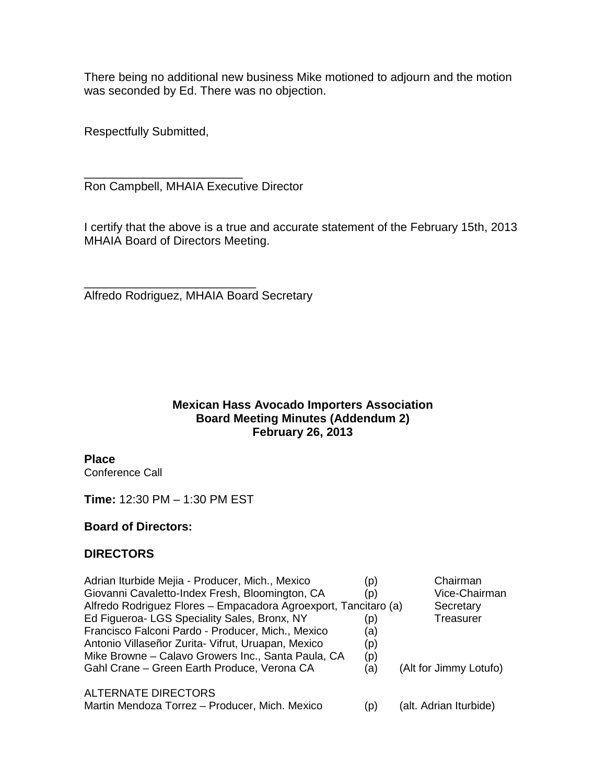There being no additional new business Mike motioned to adjourn and the motion was seconded by Ed. There was no objection.

Respectfully Submitted,

\_\_\_\_\_\_\_\_\_\_\_\_\_\_\_\_\_\_\_\_\_\_\_\_ Ron Campbell, MHAIA Executive Director

I certify that the above is a true and accurate statement of the February 15th, 2013 MHAIA Board of Directors Meeting.

\_\_\_\_\_\_\_\_\_\_\_\_\_\_\_\_\_\_\_\_\_\_\_\_\_\_ Alfredo Rodriguez, MHAIA Board Secretary

# **Mexican Hass Avocado Importers Association Board Meeting Minutes (Addendum 2) February 26, 2013**

**Place** Conference Call

**Time:** 12:30 PM – 1:30 PM EST

## **Board of Directors:**

## **DIRECTORS**

| Adrian Iturbide Mejia - Producer, Mich., Mexico<br>Giovanni Cavaletto-Index Fresh, Bloomington, CA<br>Alfredo Rodriguez Flores - Empacadora Agroexport, Tancitaro (a)<br>Ed Figueroa- LGS Speciality Sales, Bronx, NY<br>Francisco Falconi Pardo - Producer, Mich., Mexico<br>Antonio Villaseñor Zurita- Vifrut, Uruapan, Mexico<br>Mike Browne - Calavo Growers Inc., Santa Paula, CA<br>Gahl Crane - Green Earth Produce, Verona CA | (p)<br>(p)<br>(p)<br>(a)<br>(p)<br>(p)<br>(a) | Chairman<br>Vice-Chairman<br>Secretary<br>Treasurer<br>(Alt for Jimmy Lotufo) |
|---------------------------------------------------------------------------------------------------------------------------------------------------------------------------------------------------------------------------------------------------------------------------------------------------------------------------------------------------------------------------------------------------------------------------------------|-----------------------------------------------|-------------------------------------------------------------------------------|
| ALTERNATE DIRECTORS<br>Martin Mendoza Torrez - Producer, Mich. Mexico                                                                                                                                                                                                                                                                                                                                                                 | (p)                                           | (alt. Adrian Iturbide)                                                        |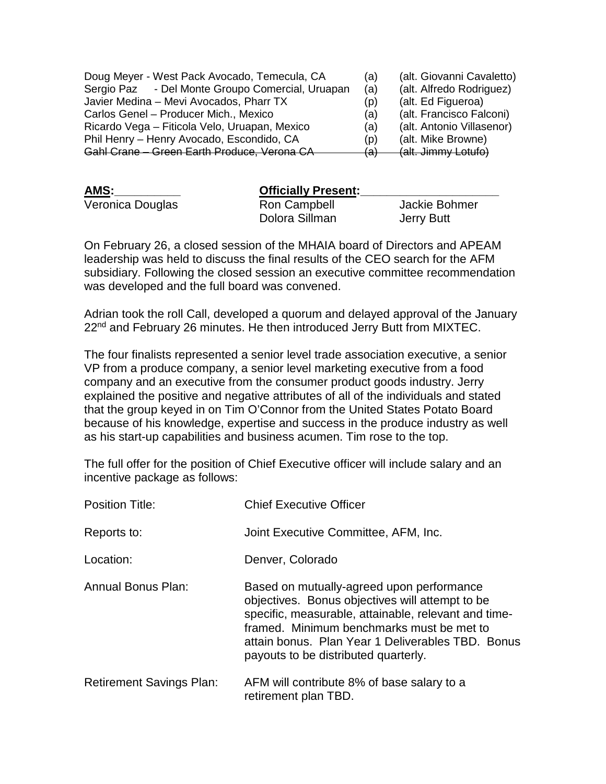| Doug Meyer - West Pack Avocado, Temecula, CA     | (a)      | (alt. Giovanni Cavaletto) |
|--------------------------------------------------|----------|---------------------------|
| Sergio Paz - Del Monte Groupo Comercial, Uruapan | (a)      | (alt. Alfredo Rodriguez)  |
| Javier Medina - Mevi Avocados, Pharr TX          | (p)      | (alt. Ed Figueroa)        |
| Carlos Genel - Producer Mich., Mexico            | (a)      | (alt. Francisco Falconi)  |
| Ricardo Vega - Fiticola Velo, Uruapan, Mexico    | (a)      | (alt. Antonio Villasenor) |
| Phil Henry - Henry Avocado, Escondido, CA        | (p)      | (alt. Mike Browne)        |
| Gahl Crane - Green Earth Produce, Verona CA      | ۱۵۱<br>ū | (alt. Jimmy Lotufo)       |

| AMS:             | <b>Officially Present:</b> |               |
|------------------|----------------------------|---------------|
| Veronica Douglas | Ron Campbell               | Jackie Bohmer |
|                  | Dolora Sillman             | Jerry Butt    |

On February 26, a closed session of the MHAIA board of Directors and APEAM leadership was held to discuss the final results of the CEO search for the AFM subsidiary. Following the closed session an executive committee recommendation was developed and the full board was convened.

Adrian took the roll Call, developed a quorum and delayed approval of the January 22<sup>nd</sup> and February 26 minutes. He then introduced Jerry Butt from MIXTEC.

The four finalists represented a senior level trade association executive, a senior VP from a produce company, a senior level marketing executive from a food company and an executive from the consumer product goods industry. Jerry explained the positive and negative attributes of all of the individuals and stated that the group keyed in on Tim O'Connor from the United States Potato Board because of his knowledge, expertise and success in the produce industry as well as his start-up capabilities and business acumen. Tim rose to the top.

The full offer for the position of Chief Executive officer will include salary and an incentive package as follows:

| <b>Position Title:</b>          | <b>Chief Executive Officer</b>                                                                                                                                                                                                                                                                 |
|---------------------------------|------------------------------------------------------------------------------------------------------------------------------------------------------------------------------------------------------------------------------------------------------------------------------------------------|
| Reports to:                     | Joint Executive Committee, AFM, Inc.                                                                                                                                                                                                                                                           |
| Location:                       | Denver, Colorado                                                                                                                                                                                                                                                                               |
| <b>Annual Bonus Plan:</b>       | Based on mutually-agreed upon performance<br>objectives. Bonus objectives will attempt to be<br>specific, measurable, attainable, relevant and time-<br>framed. Minimum benchmarks must be met to<br>attain bonus. Plan Year 1 Deliverables TBD. Bonus<br>payouts to be distributed quarterly. |
| <b>Retirement Savings Plan:</b> | AFM will contribute 8% of base salary to a<br>retirement plan TBD.                                                                                                                                                                                                                             |